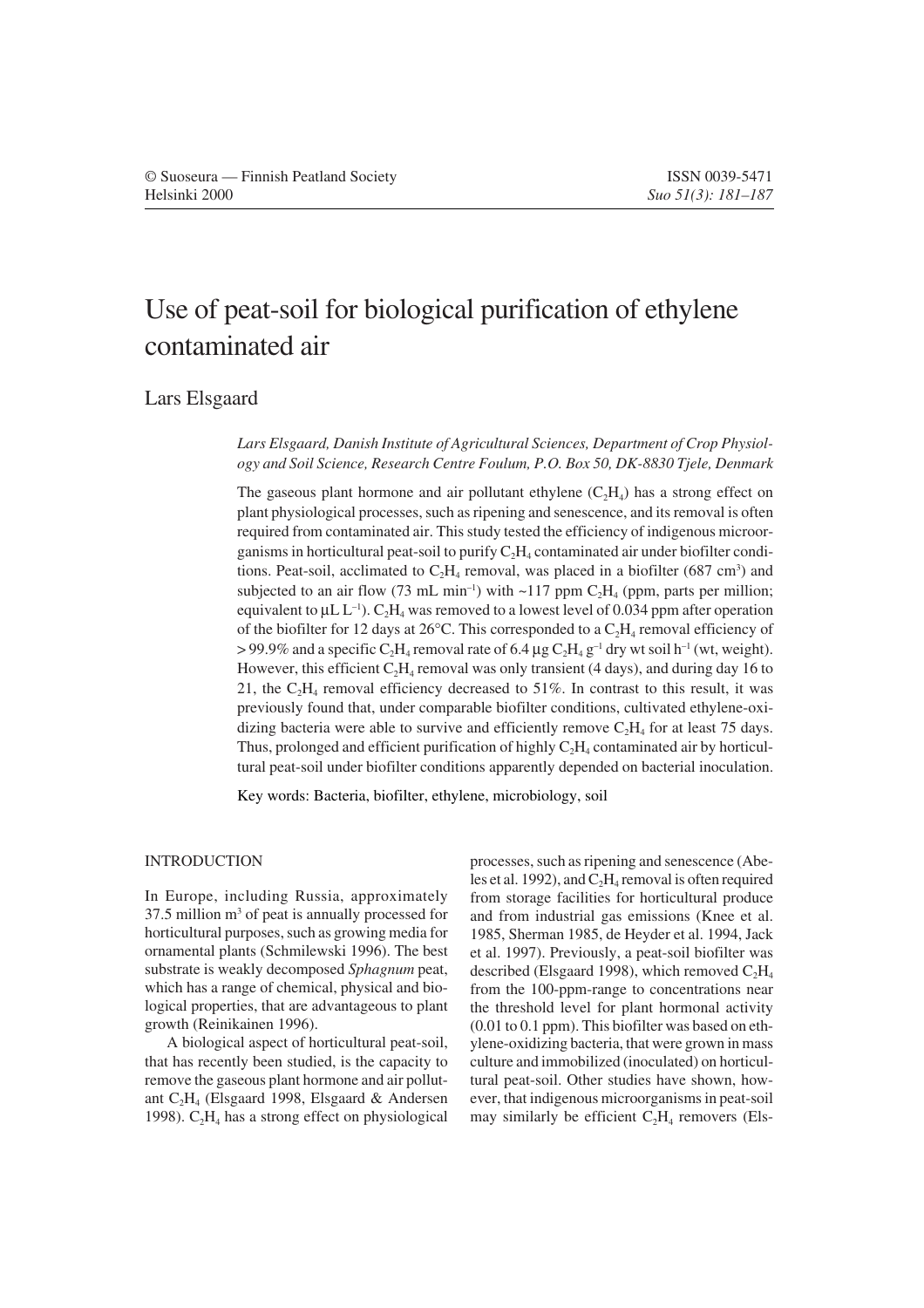# Use of peat-soil for biological purification of ethylene contaminated air

Lars Elsgaard

*Lars Elsgaard, Danish Institute of Agricultural Sciences, Department of Crop Physiology and Soil Science, Research Centre Foulum, P.O. Box 50, DK-8830 Tjele, Denmark*

The gaseous plant hormone and air pollutant ethylene  $(C<sub>2</sub>H<sub>4</sub>)$  has a strong effect on plant physiological processes, such as ripening and senescence, and its removal is often required from contaminated air. This study tested the efficiency of indigenous microorganisms in horticultural peat-soil to purify  $C_2H_4$  contaminated air under biofilter conditions. Peat-soil, acclimated to  $C_2H_4$  removal, was placed in a biofilter (687 cm<sup>3</sup>) and subjected to an air flow (73 mL min<sup>-1</sup>) with  $\sim$ 117 ppm C<sub>2</sub>H<sub>4</sub> (ppm, parts per million; equivalent to  $\mu$ L L<sup>-1</sup>). C<sub>2</sub>H<sub>4</sub> was removed to a lowest level of 0.034 ppm after operation of the biofilter for 12 days at 26°C. This corresponded to a  $C_2H_4$  removal efficiency of > 99.9% and a specific C<sub>2</sub>H<sub>4</sub> removal rate of 6.4 µg C<sub>2</sub>H<sub>4</sub> g<sup>-1</sup> dry wt soil h<sup>-1</sup> (wt, weight). However, this efficient  $C_2H_4$  removal was only transient (4 days), and during day 16 to 21, the  $C_2H_4$  removal efficiency decreased to 51%. In contrast to this result, it was previously found that, under comparable biofilter conditions, cultivated ethylene-oxidizing bacteria were able to survive and efficiently remove  $C_2H_4$  for at least 75 days. Thus, prolonged and efficient purification of highly  $C_2H_4$  contaminated air by horticultural peat-soil under biofilter conditions apparently depended on bacterial inoculation.

Key words: Bacteria, biofilter, ethylene, microbiology, soil

# INTRODUCTION

In Europe, including Russia, approximately  $37.5$  million  $m<sup>3</sup>$  of peat is annually processed for horticultural purposes, such as growing media for ornamental plants (Schmilewski 1996). The best substrate is weakly decomposed *Sphagnum* peat, which has a range of chemical, physical and biological properties, that are advantageous to plant growth (Reinikainen 1996).

A biological aspect of horticultural peat-soil, that has recently been studied, is the capacity to remove the gaseous plant hormone and air pollutant C2H4 (Elsgaard 1998, Elsgaard & Andersen 1998).  $C_2H_4$  has a strong effect on physiological

processes, such as ripening and senescence (Abeles et al. 1992), and  $C_2H_4$  removal is often required from storage facilities for horticultural produce and from industrial gas emissions (Knee et al. 1985, Sherman 1985, de Heyder et al. 1994, Jack et al. 1997). Previously, a peat-soil biofilter was described (Elsgaard 1998), which removed  $C_2H_4$ from the 100-ppm-range to concentrations near the threshold level for plant hormonal activity (0.01 to 0.1 ppm). This biofilter was based on ethylene-oxidizing bacteria, that were grown in mass culture and immobilized (inoculated) on horticultural peat-soil. Other studies have shown, however, that indigenous microorganisms in peat-soil may similarly be efficient  $C_2H_4$  removers (Els-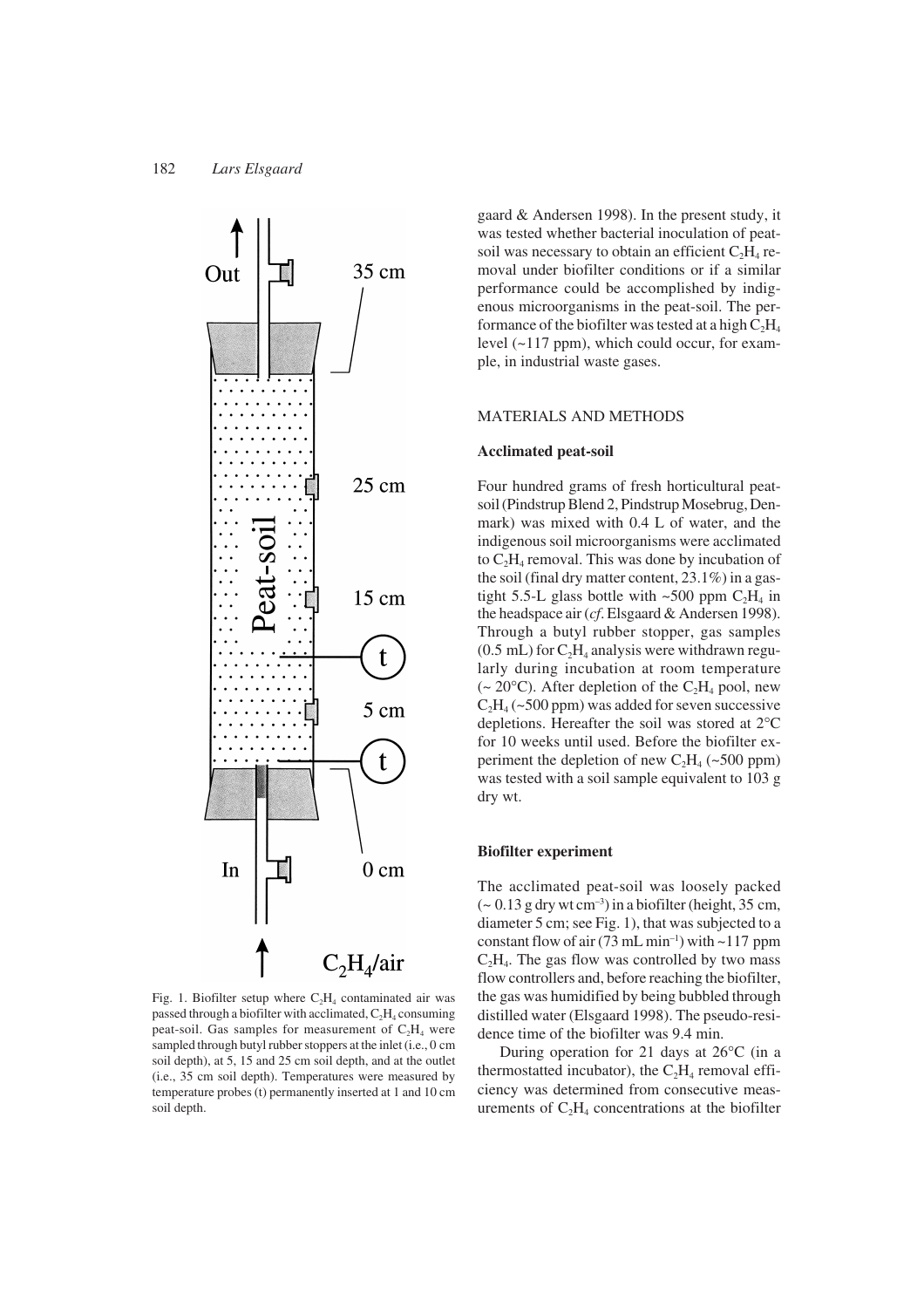

Fig. 1. Biofilter setup where  $C_2H_4$  contaminated air was passed through a biofilter with acclimated,  $C_2H_4$  consuming peat-soil. Gas samples for measurement of  $C_2H_4$  were sampled through butyl rubber stoppers at the inlet (i.e., 0 cm soil depth), at 5, 15 and 25 cm soil depth, and at the outlet (i.e., 35 cm soil depth). Temperatures were measured by temperature probes (t) permanently inserted at 1 and 10 cm soil depth.

gaard & Andersen 1998). In the present study, it was tested whether bacterial inoculation of peatsoil was necessary to obtain an efficient  $C_2H_4$  removal under biofilter conditions or if a similar performance could be accomplished by indigenous microorganisms in the peat-soil. The performance of the biofilter was tested at a high  $C_2H_4$ level (~117 ppm), which could occur, for example, in industrial waste gases.

# MATERIALS AND METHODS

## **Acclimated peat-soil**

Four hundred grams of fresh horticultural peatsoil (Pindstrup Blend 2, Pindstrup Mosebrug, Denmark) was mixed with 0.4 L of water, and the indigenous soil microorganisms were acclimated to  $C_2H_4$  removal. This was done by incubation of the soil (final dry matter content, 23.1%) in a gastight 5.5-L glass bottle with  $\sim$ 500 ppm C<sub>2</sub>H<sub>4</sub> in the headspace air (*cf*. Elsgaard & Andersen 1998). Through a butyl rubber stopper, gas samples  $(0.5$  mL) for  $C_2H_4$  analysis were withdrawn regularly during incubation at room temperature (~ 20 $\textdegree$ C). After depletion of the C<sub>2</sub>H<sub>4</sub> pool, new  $C_2H_4$  (~500 ppm) was added for seven successive depletions. Hereafter the soil was stored at 2°C for 10 weeks until used. Before the biofilter experiment the depletion of new  $C_2H_4$  (~500 ppm) was tested with a soil sample equivalent to 103 g dry wt.

# **Biofilter experiment**

The acclimated peat-soil was loosely packed  $\sim$  0.13 g dry wt cm<sup>-3</sup>) in a biofilter (height, 35 cm, diameter 5 cm; see Fig. 1), that was subjected to a constant flow of air  $(73 \text{ mL min}^{-1})$  with  $\sim$ 117 ppm  $C<sub>2</sub>H<sub>4</sub>$ . The gas flow was controlled by two mass flow controllers and, before reaching the biofilter, the gas was humidified by being bubbled through distilled water (Elsgaard 1998). The pseudo-residence time of the biofilter was 9.4 min.

During operation for 21 days at 26°C (in a thermostatted incubator), the  $C_2H_4$  removal efficiency was determined from consecutive measurements of  $C_2H_4$  concentrations at the biofilter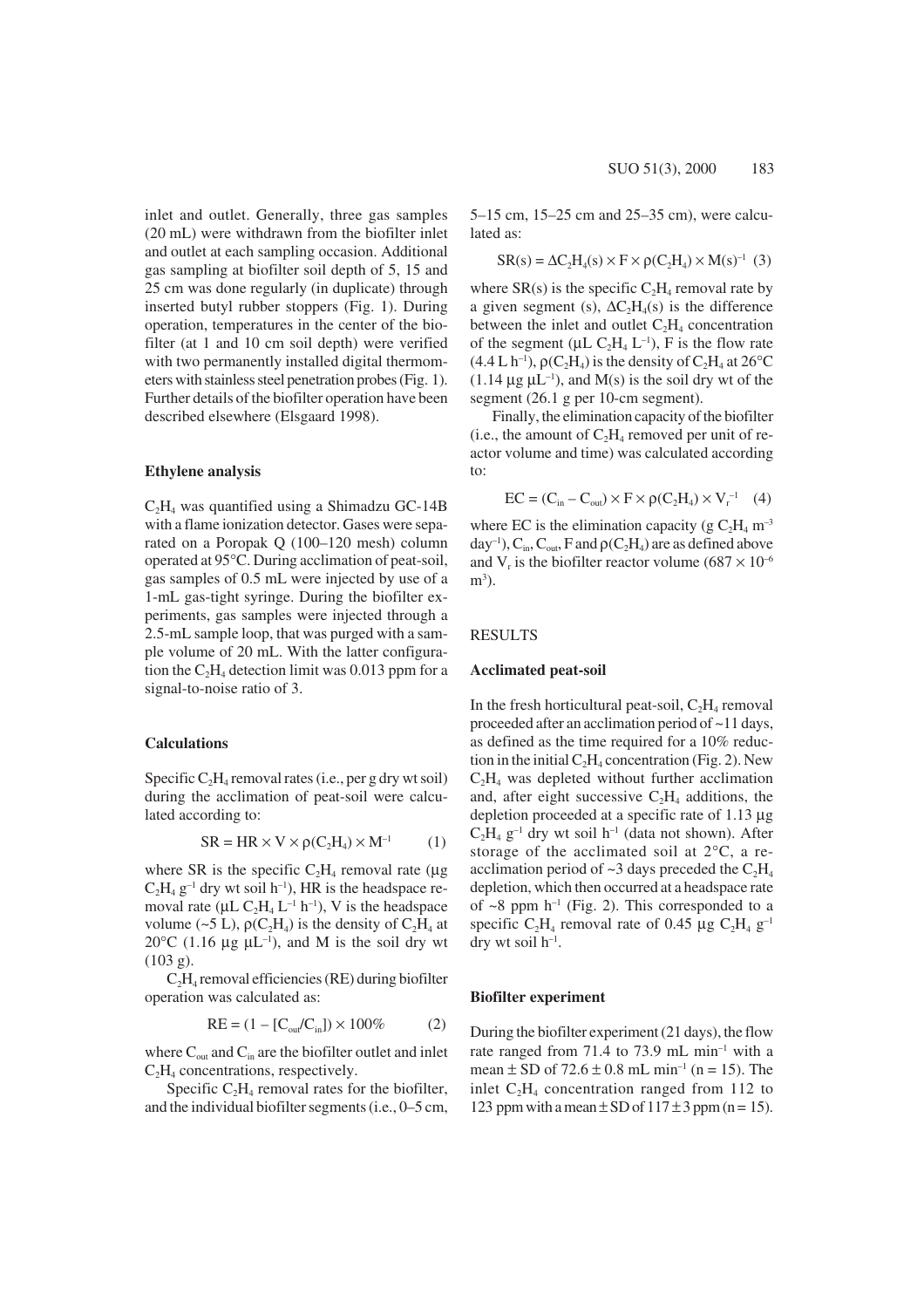inlet and outlet. Generally, three gas samples (20 mL) were withdrawn from the biofilter inlet and outlet at each sampling occasion. Additional gas sampling at biofilter soil depth of 5, 15 and 25 cm was done regularly (in duplicate) through inserted butyl rubber stoppers (Fig. 1). During operation, temperatures in the center of the biofilter (at 1 and 10 cm soil depth) were verified with two permanently installed digital thermometers with stainless steel penetration probes (Fig. 1). Further details of the biofilter operation have been described elsewhere (Elsgaard 1998).

## **Ethylene analysis**

 $C_2H_4$  was quantified using a Shimadzu GC-14B with a flame ionization detector. Gases were separated on a Poropak Q (100–120 mesh) column operated at 95°C. During acclimation of peat-soil, gas samples of 0.5 mL were injected by use of a 1-mL gas-tight syringe. During the biofilter experiments, gas samples were injected through a 2.5-mL sample loop, that was purged with a sample volume of 20 mL. With the latter configuration the  $C_2H_4$  detection limit was 0.013 ppm for a signal-to-noise ratio of 3.

# **Calculations**

Specific  $C_2H_4$  removal rates (i.e., per g dry wt soil) during the acclimation of peat-soil were calculated according to:

$$
SR = HR \times V \times \rho(C_2H_4) \times M^{-1}
$$
 (1)

where SR is the specific  $C_2H_4$  removal rate ( $\mu$ g  $C_2H_4$  g<sup>-1</sup> dry wt soil h<sup>-1</sup>), HR is the headspace removal rate ( $\mu$ L C<sub>2</sub>H<sub>4</sub> L<sup>-1</sup> h<sup>-1</sup>), V is the headspace volume (~5 L),  $\rho(C_2H_4)$  is the density of  $C_2H_4$  at 20 $^{\circ}$ C (1.16  $\mu$ g  $\mu$ L<sup>-1</sup>), and M is the soil dry wt (103 g).

 $C<sub>2</sub>H<sub>4</sub>$  removal efficiencies (RE) during biofilter operation was calculated as:

$$
RE = (1 - [C_{out}/C_{in}]) \times 100\% \tag{2}
$$

where  $C_{\text{out}}$  and  $C_{\text{in}}$  are the biofilter outlet and inlet  $C<sub>2</sub>H<sub>4</sub>$  concentrations, respectively.

Specific  $C_2H_4$  removal rates for the biofilter, and the individual biofilter segments (i.e., 0–5 cm, 5–15 cm, 15–25 cm and 25–35 cm), were calculated as:

$$
SR(s) = \Delta C_2 H_4(s) \times F \times \rho(C_2 H_4) \times M(s)^{-1} (3)
$$

where  $SR(s)$  is the specific  $C_2H_4$  removal rate by a given segment (s),  $\Delta C_2H_4(s)$  is the difference between the inlet and outlet  $C_2H_4$  concentration of the segment ( $\mu$ L C<sub>2</sub>H<sub>4</sub> L<sup>-1</sup>), F is the flow rate  $(4.4 L h^{-1})$ ,  $\rho(C_2H_4)$  is the density of  $C_2H_4$  at 26<sup>o</sup>C  $(1.14 \mu g \mu L^{-1})$ , and M(s) is the soil dry wt of the segment (26.1 g per 10-cm segment).

Finally, the elimination capacity of the biofilter (i.e., the amount of  $C_2H_4$  removed per unit of reactor volume and time) was calculated according to:

$$
EC = (C_{in} - C_{out}) \times F \times \rho(C_2H_4) \times V_r^{-1} \quad (4)
$$

where EC is the elimination capacity (g  $C_2H_4$  m<sup>-3</sup>  $day^{-1}$ ),  $C_{in}$ ,  $C_{out}$ , F and  $\rho(C_2H_4)$  are as defined above and V<sub>r</sub> is the biofilter reactor volume (687  $\times$  10<sup>-6</sup>)  $m<sup>3</sup>$ ).

#### RESULTS

#### **Acclimated peat-soil**

In the fresh horticultural peat-soil,  $C_2H_4$  removal proceeded after an acclimation period of ~11 days, as defined as the time required for a 10% reduction in the initial  $C_2H_4$  concentration (Fig. 2). New  $C_2H_4$  was depleted without further acclimation and, after eight successive  $C_2H_4$  additions, the depletion proceeded at a specific rate of 1.13 µg  $C_2H_4$  g<sup>-1</sup> dry wt soil h<sup>-1</sup> (data not shown). After storage of the acclimated soil at 2°C, a reacclimation period of  $\sim$ 3 days preceded the C<sub>2</sub>H<sub>4</sub> depletion, which then occurred at a headspace rate of  $\sim$ 8 ppm h<sup>-1</sup> (Fig. 2). This corresponded to a specific C<sub>2</sub>H<sub>4</sub> removal rate of 0.45 µg C<sub>2</sub>H<sub>4</sub> g<sup>-1</sup> dry wt soil  $h^{-1}$ .

#### **Biofilter experiment**

During the biofilter experiment (21 days), the flow rate ranged from 71.4 to 73.9 mL min<sup>-1</sup> with a mean  $\pm$  SD of 72.6  $\pm$  0.8 mL min<sup>-1</sup> (n = 15). The inlet  $C_2H_4$  concentration ranged from 112 to 123 ppm with a mean  $\pm$  SD of 117  $\pm$  3 ppm (n = 15).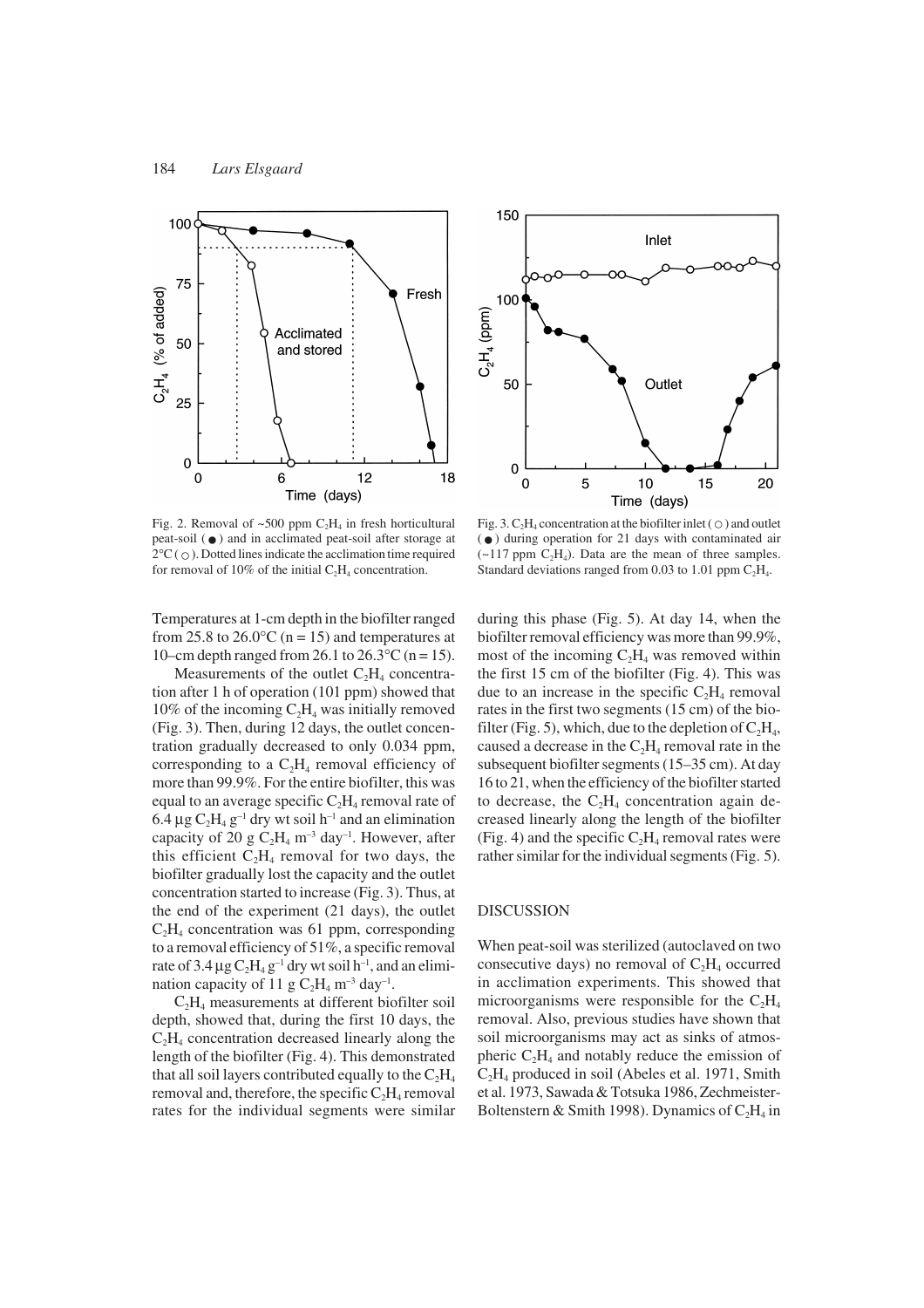

Fig. 2. Removal of  $\sim 500$  ppm  $C_2H_4$  in fresh horticultural peat-soil  $(\bullet)$  and in acclimated peat-soil after storage at  $2^{\circ}C$  ( $\circ$ ). Dotted lines indicate the acclimation time required for removal of 10% of the initial  $C_2H_4$  concentration.

Temperatures at 1-cm depth in the biofilter ranged from 25.8 to 26.0 $\degree$ C (n = 15) and temperatures at 10–cm depth ranged from 26.1 to  $26.3^{\circ}$ C (n = 15).

Measurements of the outlet  $C_2H_4$  concentration after 1 h of operation (101 ppm) showed that  $10\%$  of the incoming  $C_2H_4$  was initially removed (Fig. 3). Then, during 12 days, the outlet concentration gradually decreased to only 0.034 ppm, corresponding to a  $C_2H_4$  removal efficiency of more than 99.9%. For the entire biofilter, this was equal to an average specific  $C_2H_4$  removal rate of 6.4  $\mu$ g C<sub>2</sub>H<sub>4</sub> g<sup>-1</sup> dry wt soil h<sup>-1</sup> and an elimination capacity of 20 g  $C_2H_4$  m<sup>-3</sup> day<sup>-1</sup>. However, after this efficient  $C_2H_4$  removal for two days, the biofilter gradually lost the capacity and the outlet concentration started to increase (Fig. 3). Thus, at the end of the experiment (21 days), the outlet  $C_2H_4$  concentration was 61 ppm, corresponding to a removal efficiency of 51%, a specific removal rate of 3.4  $\mu$ g C<sub>2</sub>H<sub>4</sub> g<sup>-1</sup> dry wt soil h<sup>-1</sup>, and an elimination capacity of 11 g  $C_2H_4$  m<sup>-3</sup> day<sup>-1</sup>.

 $C_2H_4$  measurements at different biofilter soil depth, showed that, during the first 10 days, the  $C_2H_4$  concentration decreased linearly along the length of the biofilter (Fig. 4). This demonstrated that all soil layers contributed equally to the  $C_2H_4$ removal and, therefore, the specific  $C_2H_4$  removal rates for the individual segments were similar



Fig. 3.  $C_2H_4$  concentration at the biofilter inlet ( $\circ$ ) and outlet  $\left(\bullet\right)$  during operation for 21 days with contaminated air  $(\sim 117 \text{ ppm } C_2H_4)$ . Data are the mean of three samples. Standard deviations ranged from 0.03 to 1.01 ppm  $C_2H_4$ .

during this phase (Fig. 5). At day 14, when the biofilter removal efficiency was more than 99.9%, most of the incoming  $C_2H_4$  was removed within the first 15 cm of the biofilter (Fig. 4). This was due to an increase in the specific  $C_2H_4$  removal rates in the first two segments (15 cm) of the biofilter (Fig. 5), which, due to the depletion of  $C_2H_4$ , caused a decrease in the  $C_2H_4$  removal rate in the subsequent biofilter segments (15–35 cm). At day 16 to 21, when the efficiency of the biofilter started to decrease, the  $C_2H_4$  concentration again decreased linearly along the length of the biofilter (Fig. 4) and the specific  $C_2H_4$  removal rates were rather similar for the individual segments (Fig. 5).

# DISCUSSION

When peat-soil was sterilized (autoclaved on two consecutive days) no removal of  $C_2H_4$  occurred in acclimation experiments. This showed that microorganisms were responsible for the  $C_2H_4$ removal. Also, previous studies have shown that soil microorganisms may act as sinks of atmospheric  $C_2H_4$  and notably reduce the emission of  $C_2H_4$  produced in soil (Abeles et al. 1971, Smith et al. 1973, Sawada & Totsuka 1986, Zechmeister-Boltenstern & Smith 1998). Dynamics of  $C_2H_4$  in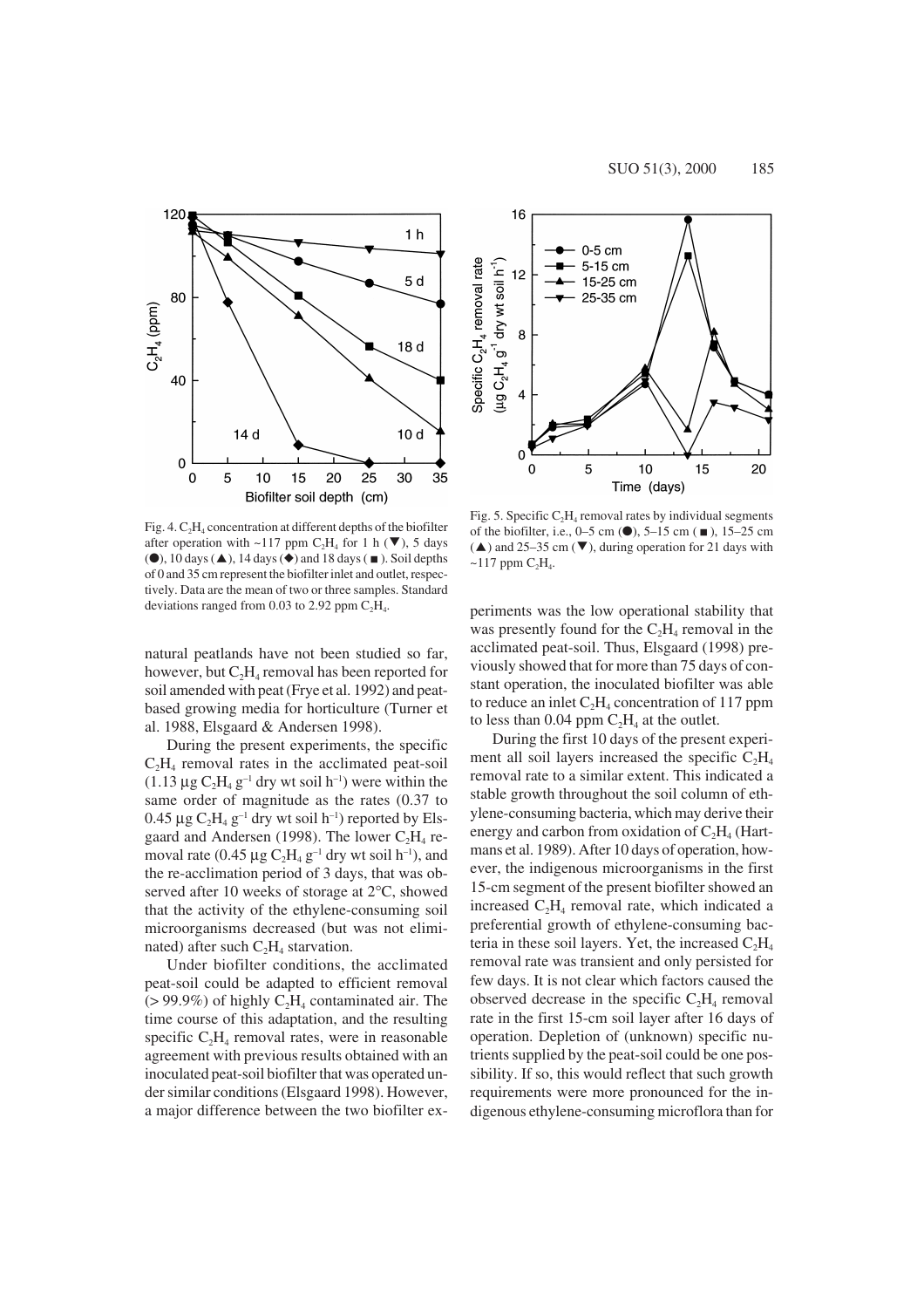

Fig. 4.  $C_2H_4$  concentration at different depths of the biofilter after operation with ~117 ppm C<sub>2</sub>H<sub>4</sub> for 1 h ( $\nabla$ ), 5 days  $\textcircled{\bullet}$ , 10 days  $\textcircled{\bullet}$ , 14 days  $\textcircled{\bullet}$  and 18 days ( $\textcircled{\bullet}$ ). Soil depths of 0 and 35 cm represent the biofilter inlet and outlet, respectively. Data are the mean of two or three samples. Standard deviations ranged from 0.03 to 2.92 ppm  $C_2H_4$ .

natural peatlands have not been studied so far, however, but  $C_2H_4$  removal has been reported for soil amended with peat (Frye et al. 1992) and peatbased growing media for horticulture (Turner et al. 1988, Elsgaard & Andersen 1998).

During the present experiments, the specific  $C<sub>2</sub>H<sub>4</sub>$  removal rates in the acclimated peat-soil  $(1.13 \mu g C_2H_4 g^{-1}$  dry wt soil h<sup>-1</sup>) were within the same order of magnitude as the rates (0.37 to 0.45  $\mu$ g C<sub>2</sub>H<sub>4</sub> g<sup>-1</sup> dry wt soil h<sup>-1</sup>) reported by Elsgaard and Andersen (1998). The lower  $C_2H_4$  removal rate (0.45  $\mu$ g C<sub>2</sub>H<sub>4</sub> g<sup>-1</sup> dry wt soil h<sup>-1</sup>), and the re-acclimation period of 3 days, that was observed after 10 weeks of storage at 2°C, showed that the activity of the ethylene-consuming soil microorganisms decreased (but was not eliminated) after such  $C_2H_4$  starvation.

Under biofilter conditions, the acclimated peat-soil could be adapted to efficient removal  $(> 99.9\%)$  of highly  $C_2H_4$  contaminated air. The time course of this adaptation, and the resulting specific  $C_2H_4$  removal rates, were in reasonable agreement with previous results obtained with an inoculated peat-soil biofilter that was operated under similar conditions (Elsgaard 1998). However, a major difference between the two biofilter ex-



Fig. 5. Specific  $C_2H_4$  removal rates by individual segments of the biofilter, i.e., 0–5 cm  $(•)$ , 5–15 cm  $(n)$ , 15–25 cm ( $\blacktriangle$ ) and 25–35 cm ( $\nabla$ ), during operation for 21 days with  $\sim$ 117 ppm  $C_2H_4$ .

periments was the low operational stability that was presently found for the  $C_2H_4$  removal in the acclimated peat-soil. Thus, Elsgaard (1998) previously showed that for more than 75 days of constant operation, the inoculated biofilter was able to reduce an inlet  $C_2H_4$  concentration of 117 ppm to less than 0.04 ppm  $C_2H_4$  at the outlet.

During the first 10 days of the present experiment all soil layers increased the specific  $C_2H_4$ removal rate to a similar extent. This indicated a stable growth throughout the soil column of ethylene-consuming bacteria, which may derive their energy and carbon from oxidation of  $C_2H_4$  (Hartmans et al. 1989). After 10 days of operation, however, the indigenous microorganisms in the first 15-cm segment of the present biofilter showed an increased  $C_2H_4$  removal rate, which indicated a preferential growth of ethylene-consuming bacteria in these soil layers. Yet, the increased  $C_2H_4$ removal rate was transient and only persisted for few days. It is not clear which factors caused the observed decrease in the specific  $C_2H_4$  removal rate in the first 15-cm soil layer after 16 days of operation. Depletion of (unknown) specific nutrients supplied by the peat-soil could be one possibility. If so, this would reflect that such growth requirements were more pronounced for the indigenous ethylene-consuming microflora than for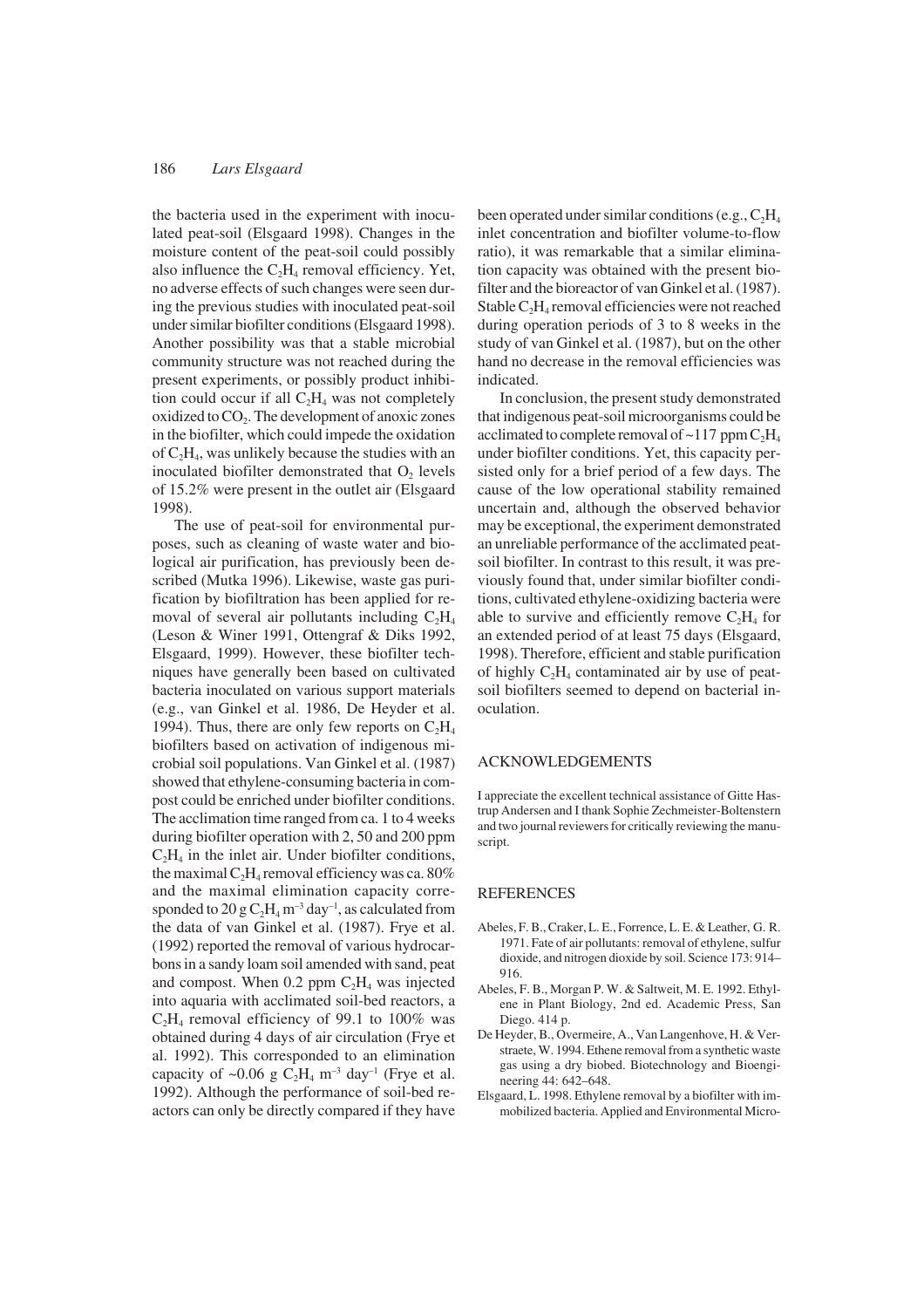# 186 *Lars Elsgaard*

the bacteria used in the experiment with inoculated peat-soil (Elsgaard 1998). Changes in the moisture content of the peat-soil could possibly also influence the  $C_2H_4$  removal efficiency. Yet, no adverse effects of such changes were seen during the previous studies with inoculated peat-soil under similar biofilter conditions (Elsgaard 1998). Another possibility was that a stable microbial community structure was not reached during the present experiments, or possibly product inhibition could occur if all  $C_2H_4$  was not completely oxidized to  $CO<sub>2</sub>$ . The development of anoxic zones in the biofilter, which could impede the oxidation of  $C_2H_4$ , was unlikely because the studies with an inoculated biofilter demonstrated that O<sub>2</sub> levels of 15.2% were present in the outlet air (Elsgaard 1998).

The use of peat-soil for environmental purposes, such as cleaning of waste water and biological air purification, has previously been described (Mutka 1996). Likewise, waste gas purification by biofiltration has been applied for removal of several air pollutants including  $C_2H_4$ (Leson & Winer 1991, Ottengraf & Diks 1992, Elsgaard, 1999). However, these biofilter techniques have generally been based on cultivated bacteria inoculated on various support materials (e.g., van Ginkel et al. 1986, De Heyder et al. 1994). Thus, there are only few reports on  $C_2H_4$ biofilters based on activation of indigenous microbial soil populations. Van Ginkel et al. (1987) showed that ethylene-consuming bacteria in compost could be enriched under biofilter conditions. The acclimation time ranged from ca. 1 to 4 weeks during biofilter operation with 2, 50 and 200 ppm  $C_2H_4$  in the inlet air. Under biofilter conditions, the maximal  $C_2H_4$  removal efficiency was ca. 80% and the maximal elimination capacity corresponded to 20 g  $C_2H_4$  m<sup>-3</sup> day<sup>-1</sup>, as calculated from the data of van Ginkel et al. (1987). Frye et al. (1992) reported the removal of various hydrocarbons in a sandy loam soil amended with sand, peat and compost. When  $0.2$  ppm  $C_2H_4$  was injected into aquaria with acclimated soil-bed reactors, a  $C_2H_4$  removal efficiency of 99.1 to 100% was obtained during 4 days of air circulation (Frye et al. 1992). This corresponded to an elimination capacity of ~0.06 g  $C_2H_4$  m<sup>-3</sup> day<sup>-1</sup> (Frye et al. 1992). Although the performance of soil-bed reactors can only be directly compared if they have

been operated under similar conditions (e.g.,  $C_2H_4$ ) inlet concentration and biofilter volume-to-flow ratio), it was remarkable that a similar elimination capacity was obtained with the present biofilter and the bioreactor of van Ginkel et al. (1987). Stable  $C_2H_4$  removal efficiencies were not reached during operation periods of 3 to 8 weeks in the study of van Ginkel et al. (1987), but on the other hand no decrease in the removal efficiencies was indicated.

In conclusion, the present study demonstrated that indigenous peat-soil microorganisms could be acclimated to complete removal of  $\sim$ 117 ppm  $C_2H_4$ under biofilter conditions. Yet, this capacity persisted only for a brief period of a few days. The cause of the low operational stability remained uncertain and, although the observed behavior may be exceptional, the experiment demonstrated an unreliable performance of the acclimated peatsoil biofilter. In contrast to this result, it was previously found that, under similar biofilter conditions, cultivated ethylene-oxidizing bacteria were able to survive and efficiently remove  $C_2H_4$  for an extended period of at least 75 days (Elsgaard, 1998). Therefore, efficient and stable purification of highly  $C_2H_4$  contaminated air by use of peatsoil biofilters seemed to depend on bacterial inoculation.

# ACKNOWLEDGEMENTS

I appreciate the excellent technical assistance of Gitte Hastrup Andersen and I thank Sophie Zechmeister-Boltenstern and two journal reviewers for critically reviewing the manuscript.

## REFERENCES

- Abeles, F. B., Craker, L. E., Forrence, L. E. & Leather, G. R. 1971. Fate of air pollutants: removal of ethylene, sulfur dioxide, and nitrogen dioxide by soil. Science 173: 914– 916.
- Abeles, F. B., Morgan P. W. & Saltweit, M. E. 1992. Ethylene in Plant Biology, 2nd ed. Academic Press, San Diego. 414 p.
- De Heyder, B., Overmeire, A., Van Langenhove, H. & Verstraete, W. 1994. Ethene removal from a synthetic waste gas using a dry biobed. Biotechnology and Bioengineering 44: 642–648.
- Elsgaard, L. 1998. Ethylene removal by a biofilter with immobilized bacteria. Applied and Environmental Micro-